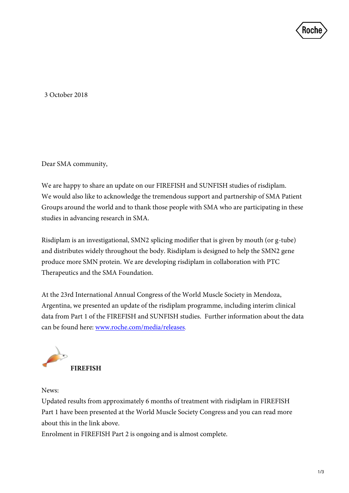

3 October 2018

Dear SMA community,

We are happy to share an update on our FIREFISH and SUNFISH studies of risdiplam. We would also like to acknowledge the tremendous support and partnership of SMA Patient Groups around the world and to thank those people with SMA who are participating in these studies in advancing research in SMA.

Risdiplam is an investigational, SMN2 splicing modifier that is given by mouth (or g-tube) and distributes widely throughout the body. Risdiplam is designed to help the SMN2 gene produce more SMN protein. We are developing risdiplam in collaboration with PTC Therapeutics and the SMA Foundation.

At the 23rd International Annual Congress of the World Muscle Society in Mendoza, Argentina, we presented an update of the risdiplam programme, including interim clinical data from Part 1 of the FIREFISH and SUNFISH studies. Further information about the data can be found here: [www.roche.com/media/releases.](https://www.roche.com/media/releases.htm)



News:

Updated results from approximately 6 months of treatment with risdiplam in FIREFISH Part 1 have been presented at the World Muscle Society Congress and you can read more about this in the link above.

Enrolment in FIREFISH Part 2 is ongoing and is almost complete.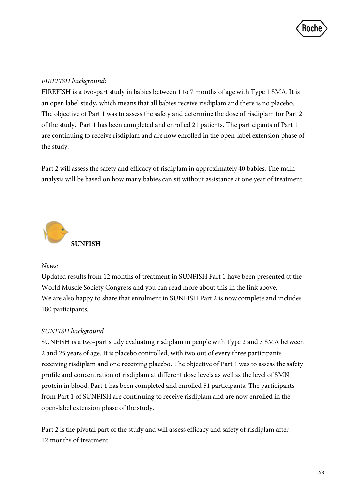

## *FIREFISH background:*

FIREFISH is a two-part study in babies between 1 to 7 months of age with Type 1 SMA. It is an open label study, which means that all babies receive risdiplam and there is no placebo. The objective of Part 1 was to assess the safety and determine the dose of risdiplam for Part 2 of the study. Part 1 has been completed and enrolled 21 patients. The participants of Part 1 are continuing to receive risdiplam and are now enrolled in the open-label extension phase of the study.

Part 2 will assess the safety and efficacy of risdiplam in approximately 40 babies. The main analysis will be based on how many babies can sit without assistance at one year of treatment.



## *News:*

Updated results from 12 months of treatment in SUNFISH Part 1 have been presented at the World Muscle Society Congress and you can read more about this in the link above. We are also happy to share that enrolment in SUNFISH Part 2 is now complete and includes 180 participants.

## *SUNFISH background*

SUNFISH is a two-part study evaluating risdiplam in people with Type 2 and 3 SMA between 2 and 25 years of age. It is placebo controlled, with two out of every three participants receiving risdiplam and one receiving placebo. The objective of Part 1 was to assess the safety profile and concentration of risdiplam at different dose levels as well as the level of SMN protein in blood. Part 1 has been completed and enrolled 51 participants. The participants from Part 1 of SUNFISH are continuing to receive risdiplam and are now enrolled in the open-label extension phase of the study.

Part 2 is the pivotal part of the study and will assess efficacy and safety of risdiplam after 12 months of treatment.